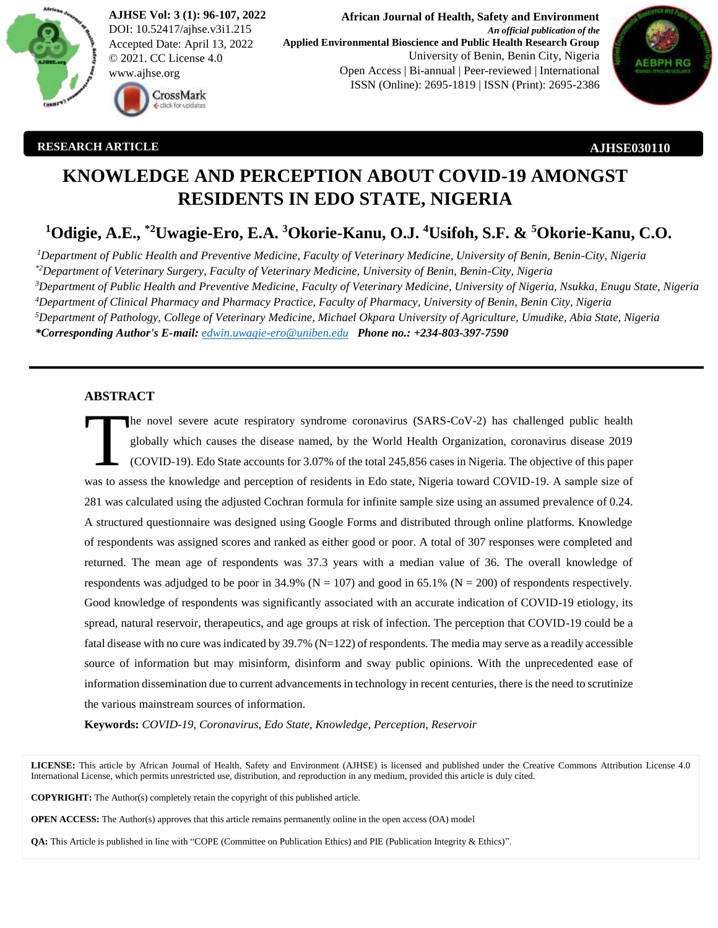

**AJHSE Vol: 3 (1): 96-107, 2022** DOI: 10.52417/ajhse.v3i1.215 Accepted Date: April 13, 2022 © 2021. CC License 4.0 www.ajhse.org



**African Journal of Health, Safety and Environment** *An official publication of the* **Applied Environmental Bioscience and Public Health Research Group** University of Benin, Benin City, Nigeria Open Access | Bi-annual | Peer-reviewed | International ISSN (Online): 2695-1819 | ISSN (Print): 2695-2386



### **RESEARCH ARTICLE**

**AJHSE030110**

# **KNOWLEDGE AND PERCEPTION ABOUT COVID-19 AMONGST RESIDENTS IN EDO STATE, NIGERIA**

## **<sup>1</sup>Odigie, A.E., \*2Uwagie-Ero, E.A. <sup>3</sup>Okorie-Kanu, O.J. <sup>4</sup>Usifoh, S.F. & <sup>5</sup>Okorie-Kanu, C.O.**

*Department of Public Health and Preventive Medicine, Faculty of Veterinary Medicine, University of Benin, Benin-City, Nigeria \*2Department of Veterinary Surgery, Faculty of Veterinary Medicine, University of Benin, Benin-City, Nigeria Department of Public Health and Preventive Medicine, Faculty of Veterinary Medicine, University of Nigeria, Nsukka, Enugu State, Nigeria Department of Clinical Pharmacy and Pharmacy Practice, Faculty of Pharmacy, University of Benin, Benin City, Nigeria Department of Pathology, College of Veterinary Medicine, Michael Okpara University of Agriculture, Umudike, Abia State, Nigeria \*Corresponding Author's E-mail: [edwin.uwagie-ero@uniben.edu](mailto:edwin.uwagie-ero@uniben.edu) Phone no.: +234-803-397-7590* 

## **ABSTRACT**

he novel severe acute respiratory syndrome coronavirus (SARS-CoV-2) has challenged public health globally which causes the disease named, by the World Health Organization, coronavirus disease 2019 (COVID-19). Edo State accounts for 3.07% of the total 245,856 cases in Nigeria. The objective of this paper was to assess the knowledge and perception of residents in Edo state, Nigeria toward COVID-19. A sample size of 281 was calculated using the adjusted Cochran formula for infinite sample size using an assumed prevalence of 0.24. A structured questionnaire was designed using Google Forms and distributed through online platforms. Knowledge of respondents was assigned scores and ranked as either good or poor. A total of 307 responses were completed and returned. The mean age of respondents was 37.3 years with a median value of 36. The overall knowledge of respondents was adjudged to be poor in 34.9% ( $N = 107$ ) and good in 65.1% ( $N = 200$ ) of respondents respectively. Good knowledge of respondents was significantly associated with an accurate indication of COVID-19 etiology, its spread, natural reservoir, therapeutics, and age groups at risk of infection. The perception that COVID-19 could be a fatal disease with no cure was indicated by  $39.7\%$  (N=122) of respondents. The media may serve as a readily accessible source of information but may misinform, disinform and sway public opinions. With the unprecedented ease of information dissemination due to current advancements in technology in recent centuries, there is the need to scrutinize the various mainstream sources of information. T

**Keywords:** *COVID-19, Coronavirus, Edo State, Knowledge, Perception, Reservoir*

**LICENSE:** This article by African Journal of Health, Safety and Environment (AJHSE) is licensed and published under the Creative Commons Attribution License 4.0 International License, which permits unrestricted use, distribution, and reproduction in any medium, provided this article is duly cited.

**COPYRIGHT:** The Author(s) completely retain the copyright of this published article.

**OPEN ACCESS:** The Author(s) approves that this article remains permanently online in the open access (OA) model

**QA:** This Article is published in line with "COPE (Committee on Publication Ethics) and PIE (Publication Integrity & Ethics)".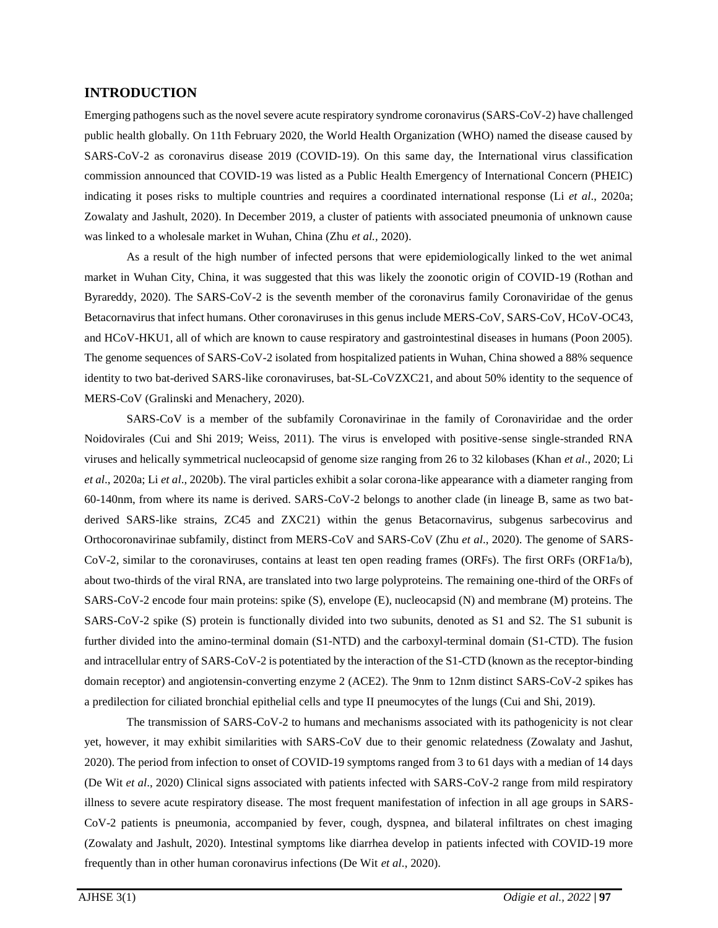## **INTRODUCTION**

Emerging pathogens such as the novel severe acute respiratory syndrome coronavirus (SARS-CoV-2) have challenged public health globally. On 11th February 2020, the World Health Organization (WHO) named the disease caused by SARS-CoV-2 as coronavirus disease 2019 (COVID-19). On this same day, the International virus classification commission announced that COVID-19 was listed as a Public Health Emergency of International Concern (PHEIC) indicating it poses risks to multiple countries and requires a coordinated international response (Li *et al*., 2020a; Zowalaty and Jashult, 2020). In December 2019, a cluster of patients with associated pneumonia of unknown cause was linked to a wholesale market in Wuhan, China (Zhu *et al.,* 2020).

As a result of the high number of infected persons that were epidemiologically linked to the wet animal market in Wuhan City, China, it was suggested that this was likely the zoonotic origin of COVID-19 (Rothan and Byrareddy, 2020). The SARS-CoV-2 is the seventh member of the coronavirus family Coronaviridae of the genus Betacornavirus that infect humans. Other coronaviruses in this genus include MERS-CoV, SARS-CoV, HCoV-OC43, and HCoV-HKU1, all of which are known to cause respiratory and gastrointestinal diseases in humans (Poon 2005). The genome sequences of SARS-CoV-2 isolated from hospitalized patients in Wuhan, China showed a 88% sequence identity to two bat-derived SARS-like coronaviruses, bat-SL-CoVZXC21, and about 50% identity to the sequence of MERS-CoV (Gralinski and Menachery, 2020).

SARS-CoV is a member of the subfamily Coronavirinae in the family of Coronaviridae and the order Noidovirales (Cui and Shi 2019; Weiss, 2011). The virus is enveloped with positive-sense single-stranded RNA viruses and helically symmetrical nucleocapsid of genome size ranging from 26 to 32 kilobases (Khan *et al*., 2020; Li *et al*., 2020a; Li *et al*., 2020b). The viral particles exhibit a solar corona-like appearance with a diameter ranging from 60-140nm, from where its name is derived. SARS-CoV-2 belongs to another clade (in lineage B, same as two batderived SARS-like strains, ZC45 and ZXC21) within the genus Betacornavirus, subgenus sarbecovirus and Orthocoronavirinae subfamily, distinct from MERS-CoV and SARS-CoV (Zhu *et al*., 2020). The genome of SARS-CoV-2, similar to the coronaviruses, contains at least ten open reading frames (ORFs). The first ORFs (ORF1a/b), about two-thirds of the viral RNA, are translated into two large polyproteins. The remaining one-third of the ORFs of SARS-CoV-2 encode four main proteins: spike (S), envelope (E), nucleocapsid (N) and membrane (M) proteins. The SARS-CoV-2 spike (S) protein is functionally divided into two subunits, denoted as S1 and S2. The S1 subunit is further divided into the amino-terminal domain (S1-NTD) and the carboxyl-terminal domain (S1-CTD). The fusion and intracellular entry of SARS-CoV-2 is potentiated by the interaction of the S1-CTD (known as the receptor-binding domain receptor) and angiotensin-converting enzyme 2 (ACE2). The 9nm to 12nm distinct SARS-CoV-2 spikes has a predilection for ciliated bronchial epithelial cells and type II pneumocytes of the lungs (Cui and Shi, 2019).

The transmission of SARS-CoV-2 to humans and mechanisms associated with its pathogenicity is not clear yet, however, it may exhibit similarities with SARS-CoV due to their genomic relatedness (Zowalaty and Jashut, 2020). The period from infection to onset of COVID-19 symptoms ranged from 3 to 61 days with a median of 14 days (De Wit *et al*., 2020) Clinical signs associated with patients infected with SARS-CoV-2 range from mild respiratory illness to severe acute respiratory disease. The most frequent manifestation of infection in all age groups in SARS-CoV-2 patients is pneumonia, accompanied by fever, cough, dyspnea, and bilateral infiltrates on chest imaging (Zowalaty and Jashult, 2020). Intestinal symptoms like diarrhea develop in patients infected with COVID-19 more frequently than in other human coronavirus infections (De Wit *et al*., 2020).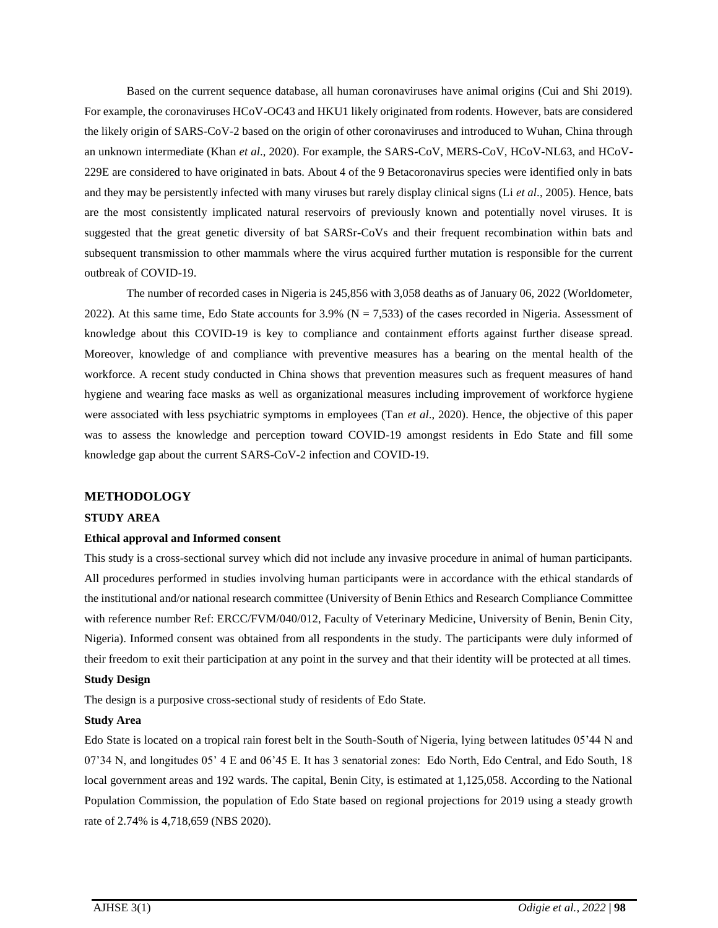Based on the current sequence database, all human coronaviruses have animal origins (Cui and Shi 2019). For example, the coronaviruses HCoV-OC43 and HKU1 likely originated from rodents. However, bats are considered the likely origin of SARS-CoV-2 based on the origin of other coronaviruses and introduced to Wuhan, China through an unknown intermediate (Khan *et al*., 2020). For example, the SARS-CoV, MERS-CoV, HCoV-NL63, and HCoV-229E are considered to have originated in bats. About 4 of the 9 Betacoronavirus species were identified only in bats and they may be persistently infected with many viruses but rarely display clinical signs (Li *et al*., 2005). Hence, bats are the most consistently implicated natural reservoirs of previously known and potentially novel viruses. It is suggested that the great genetic diversity of bat SARSr-CoVs and their frequent recombination within bats and subsequent transmission to other mammals where the virus acquired further mutation is responsible for the current outbreak of COVID-19.

The number of recorded cases in Nigeria is 245,856 with 3,058 deaths as of January 06, 2022 (Worldometer, 2022). At this same time, Edo State accounts for 3.9% ( $N = 7,533$ ) of the cases recorded in Nigeria. Assessment of knowledge about this COVID-19 is key to compliance and containment efforts against further disease spread. Moreover, knowledge of and compliance with preventive measures has a bearing on the mental health of the workforce. A recent study conducted in China shows that prevention measures such as frequent measures of hand hygiene and wearing face masks as well as organizational measures including improvement of workforce hygiene were associated with less psychiatric symptoms in employees (Tan *et al*., 2020). Hence, the objective of this paper was to assess the knowledge and perception toward COVID-19 amongst residents in Edo State and fill some knowledge gap about the current SARS-CoV-2 infection and COVID-19.

## **METHODOLOGY**

## **STUDY AREA**

#### **Ethical approval and Informed consent**

This study is a cross-sectional survey which did not include any invasive procedure in animal of human participants. All procedures performed in studies involving human participants were in accordance with the ethical standards of the institutional and/or national research committee (University of Benin Ethics and Research Compliance Committee with reference number Ref: ERCC/FVM/040/012, Faculty of Veterinary Medicine, University of Benin, Benin City, Nigeria). Informed consent was obtained from all respondents in the study. The participants were duly informed of their freedom to exit their participation at any point in the survey and that their identity will be protected at all times.

### **Study Design**

The design is a purposive cross-sectional study of residents of Edo State.

#### **Study Area**

Edo State is located on a tropical rain forest belt in the South-South of Nigeria, lying between latitudes 05'44 N and 07'34 N, and longitudes 05' 4 E and 06'45 E. It has 3 senatorial zones: Edo North, Edo Central, and Edo South, 18 local government areas and 192 wards. The capital, Benin City, is estimated at 1,125,058. According to the National Population Commission, the population of Edo State based on regional projections for 2019 using a steady growth rate of 2.74% is 4,718,659 (NBS 2020).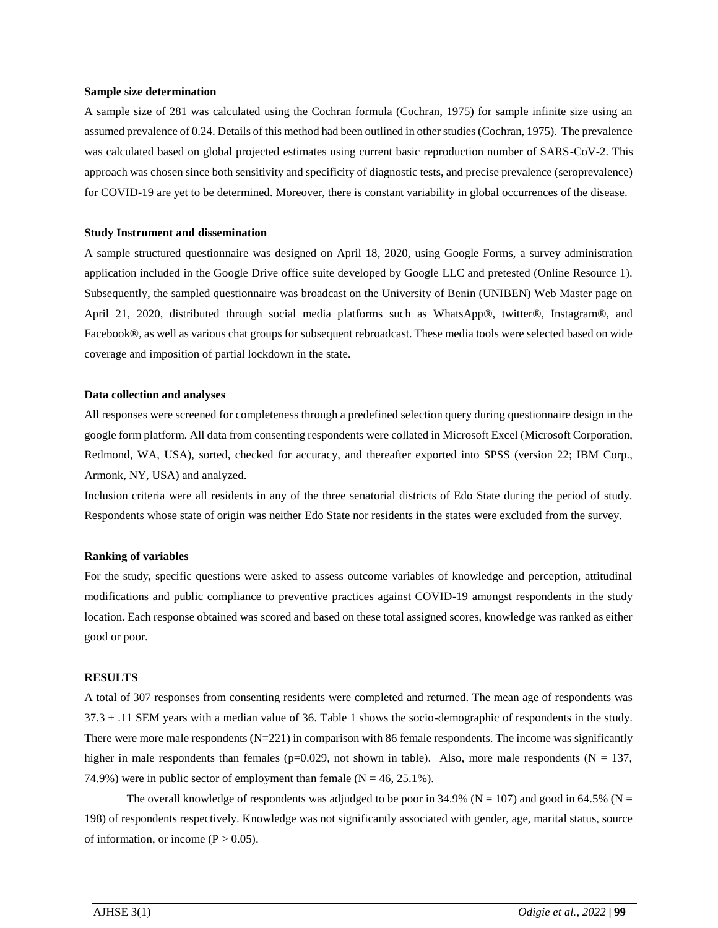#### **Sample size determination**

A sample size of 281 was calculated using the Cochran formula (Cochran, 1975) for sample infinite size using an assumed prevalence of 0.24. Details of this method had been outlined in other studies (Cochran, 1975). The prevalence was calculated based on global projected estimates using current basic reproduction number of SARS-CoV-2. This approach was chosen since both sensitivity and specificity of diagnostic tests, and precise prevalence (seroprevalence) for COVID-19 are yet to be determined. Moreover, there is constant variability in global occurrences of the disease.

#### **Study Instrument and dissemination**

A sample structured questionnaire was designed on April 18, 2020, using Google Forms, a survey administration application included in the Google Drive office suite developed by Google LLC and pretested (Online Resource 1). Subsequently, the sampled questionnaire was broadcast on the University of Benin (UNIBEN) Web Master page on April 21, 2020, distributed through social media platforms such as WhatsApp®, twitter®, Instagram®, and Facebook®, as well as various chat groups for subsequent rebroadcast. These media tools were selected based on wide coverage and imposition of partial lockdown in the state.

#### **Data collection and analyses**

All responses were screened for completeness through a predefined selection query during questionnaire design in the google form platform. All data from consenting respondents were collated in Microsoft Excel (Microsoft Corporation, Redmond, WA, USA), sorted, checked for accuracy, and thereafter exported into SPSS (version 22; IBM Corp., Armonk, NY, USA) and analyzed.

Inclusion criteria were all residents in any of the three senatorial districts of Edo State during the period of study. Respondents whose state of origin was neither Edo State nor residents in the states were excluded from the survey.

#### **Ranking of variables**

For the study, specific questions were asked to assess outcome variables of knowledge and perception, attitudinal modifications and public compliance to preventive practices against COVID-19 amongst respondents in the study location. Each response obtained was scored and based on these total assigned scores, knowledge was ranked as either good or poor.

#### **RESULTS**

A total of 307 responses from consenting residents were completed and returned. The mean age of respondents was  $37.3 \pm .11$  SEM years with a median value of 36. Table 1 shows the socio-demographic of respondents in the study. There were more male respondents  $(N=221)$  in comparison with 86 female respondents. The income was significantly higher in male respondents than females ( $p=0.029$ , not shown in table). Also, more male respondents ( $N = 137$ , 74.9%) were in public sector of employment than female ( $N = 46, 25.1\%$ ).

The overall knowledge of respondents was adjudged to be poor in 34.9% ( $N = 107$ ) and good in 64.5% ( $N = 107$ ) 198) of respondents respectively. Knowledge was not significantly associated with gender, age, marital status, source of information, or income  $(P > 0.05)$ .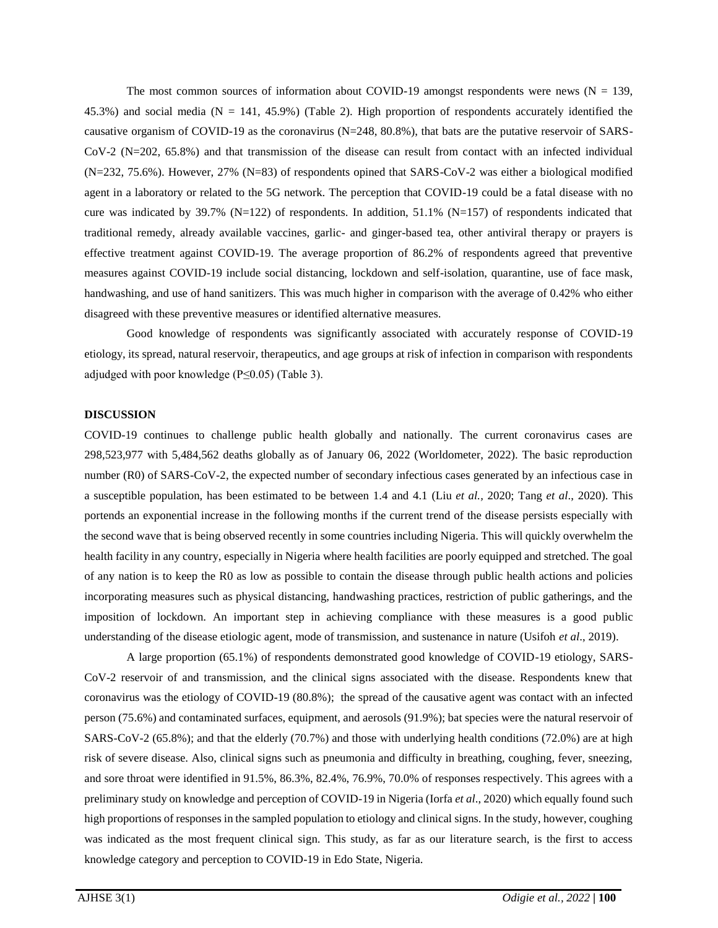The most common sources of information about COVID-19 amongst respondents were news  $(N = 139)$ , 45.3%) and social media ( $N = 141, 45.9%$ ) (Table 2). High proportion of respondents accurately identified the causative organism of COVID-19 as the coronavirus (N=248, 80.8%), that bats are the putative reservoir of SARS-CoV-2 (N=202, 65.8%) and that transmission of the disease can result from contact with an infected individual (N=232, 75.6%). However, 27% (N=83) of respondents opined that SARS-CoV-2 was either a biological modified agent in a laboratory or related to the 5G network. The perception that COVID-19 could be a fatal disease with no cure was indicated by 39.7% (N=122) of respondents. In addition, 51.1% (N=157) of respondents indicated that traditional remedy, already available vaccines, garlic- and ginger-based tea, other antiviral therapy or prayers is effective treatment against COVID-19. The average proportion of 86.2% of respondents agreed that preventive measures against COVID-19 include social distancing, lockdown and self-isolation, quarantine, use of face mask, handwashing, and use of hand sanitizers. This was much higher in comparison with the average of 0.42% who either disagreed with these preventive measures or identified alternative measures.

Good knowledge of respondents was significantly associated with accurately response of COVID-19 etiology, its spread, natural reservoir, therapeutics, and age groups at risk of infection in comparison with respondents adjudged with poor knowledge (P≤0.05) (Table 3).

## **DISCUSSION**

COVID-19 continues to challenge public health globally and nationally. The current coronavirus cases are 298,523,977 with 5,484,562 deaths globally as of January 06, 2022 (Worldometer, 2022). The basic reproduction number (R0) of SARS-CoV-2, the expected number of secondary infectious cases generated by an infectious case in a susceptible population, has been estimated to be between 1.4 and 4.1 (Liu *et al.,* 2020; Tang *et al*., 2020). This portends an exponential increase in the following months if the current trend of the disease persists especially with the second wave that is being observed recently in some countries including Nigeria. This will quickly overwhelm the health facility in any country, especially in Nigeria where health facilities are poorly equipped and stretched. The goal of any nation is to keep the R0 as low as possible to contain the disease through public health actions and policies incorporating measures such as physical distancing, handwashing practices, restriction of public gatherings, and the imposition of lockdown. An important step in achieving compliance with these measures is a good public understanding of the disease etiologic agent, mode of transmission, and sustenance in nature (Usifoh *et al*., 2019).

A large proportion (65.1%) of respondents demonstrated good knowledge of COVID-19 etiology, SARS-CoV-2 reservoir of and transmission, and the clinical signs associated with the disease. Respondents knew that coronavirus was the etiology of COVID-19 (80.8%); the spread of the causative agent was contact with an infected person (75.6%) and contaminated surfaces, equipment, and aerosols (91.9%); bat species were the natural reservoir of SARS-CoV-2 (65.8%); and that the elderly (70.7%) and those with underlying health conditions (72.0%) are at high risk of severe disease. Also, clinical signs such as pneumonia and difficulty in breathing, coughing, fever, sneezing, and sore throat were identified in 91.5%, 86.3%, 82.4%, 76.9%, 70.0% of responses respectively. This agrees with a preliminary study on knowledge and perception of COVID-19 in Nigeria (Iorfa *et al*., 2020) which equally found such high proportions of responses in the sampled population to etiology and clinical signs. In the study, however, coughing was indicated as the most frequent clinical sign. This study, as far as our literature search, is the first to access knowledge category and perception to COVID-19 in Edo State, Nigeria.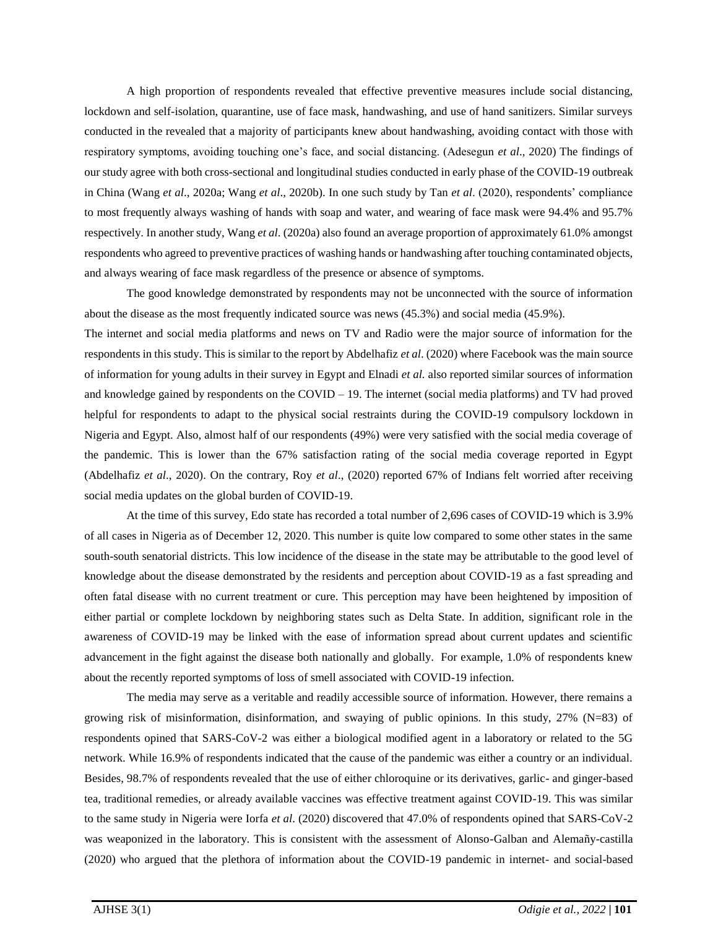A high proportion of respondents revealed that effective preventive measures include social distancing, lockdown and self-isolation, quarantine, use of face mask, handwashing, and use of hand sanitizers. Similar surveys conducted in the revealed that a majority of participants knew about handwashing, avoiding contact with those with respiratory symptoms, avoiding touching one's face, and social distancing. (Adesegun *et al*., 2020) The findings of our study agree with both cross-sectional and longitudinal studies conducted in early phase of the COVID-19 outbreak in China (Wang *et al*., 2020a; Wang *et al*., 2020b). In one such study by Tan *et al*. (2020), respondents' compliance to most frequently always washing of hands with soap and water, and wearing of face mask were 94.4% and 95.7% respectively. In another study, Wang *et al*. (2020a) also found an average proportion of approximately 61.0% amongst respondents who agreed to preventive practices of washing hands or handwashing after touching contaminated objects, and always wearing of face mask regardless of the presence or absence of symptoms.

The good knowledge demonstrated by respondents may not be unconnected with the source of information about the disease as the most frequently indicated source was news (45.3%) and social media (45.9%).

The internet and social media platforms and news on TV and Radio were the major source of information for the respondents in this study. This is similar to the report by Abdelhafiz *et al*. (2020) where Facebook was the main source of information for young adults in their survey in Egypt and Elnadi *et al.* also reported similar sources of information and knowledge gained by respondents on the COVID – 19. The internet (social media platforms) and TV had proved helpful for respondents to adapt to the physical social restraints during the COVID-19 compulsory lockdown in Nigeria and Egypt. Also, almost half of our respondents (49%) were very satisfied with the social media coverage of the pandemic. This is lower than the 67% satisfaction rating of the social media coverage reported in Egypt (Abdelhafiz *et al*., 2020). On the contrary, Roy *et al*., (2020) reported 67% of Indians felt worried after receiving social media updates on the global burden of COVID-19.

At the time of this survey, Edo state has recorded a total number of 2,696 cases of COVID-19 which is 3.9% of all cases in Nigeria as of December 12, 2020. This number is quite low compared to some other states in the same south-south senatorial districts. This low incidence of the disease in the state may be attributable to the good level of knowledge about the disease demonstrated by the residents and perception about COVID-19 as a fast spreading and often fatal disease with no current treatment or cure. This perception may have been heightened by imposition of either partial or complete lockdown by neighboring states such as Delta State. In addition, significant role in the awareness of COVID-19 may be linked with the ease of information spread about current updates and scientific advancement in the fight against the disease both nationally and globally. For example, 1.0% of respondents knew about the recently reported symptoms of loss of smell associated with COVID-19 infection.

The media may serve as a veritable and readily accessible source of information. However, there remains a growing risk of misinformation, disinformation, and swaying of public opinions. In this study, 27% (N=83) of respondents opined that SARS-CoV-2 was either a biological modified agent in a laboratory or related to the 5G network. While 16.9% of respondents indicated that the cause of the pandemic was either a country or an individual. Besides, 98.7% of respondents revealed that the use of either chloroquine or its derivatives, garlic- and ginger-based tea, traditional remedies, or already available vaccines was effective treatment against COVID-19. This was similar to the same study in Nigeria were Iorfa *et al*. (2020) discovered that 47.0% of respondents opined that SARS-CoV-2 was weaponized in the laboratory. This is consistent with the assessment of Alonso-Galban and Alemañy-castilla (2020) who argued that the plethora of information about the COVID-19 pandemic in internet- and social-based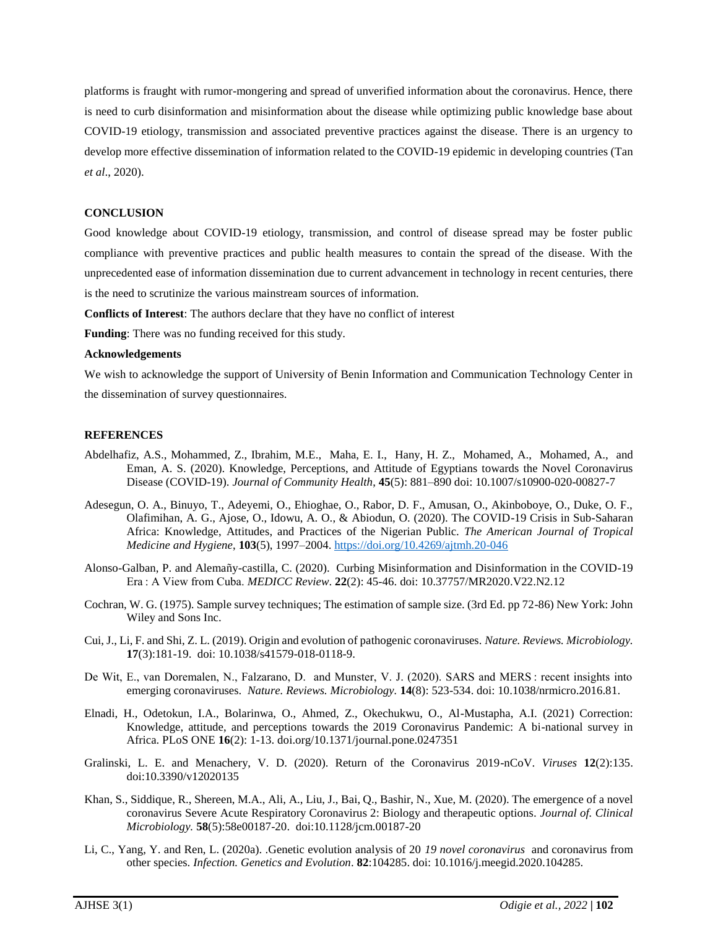platforms is fraught with rumor-mongering and spread of unverified information about the coronavirus. Hence, there is need to curb disinformation and misinformation about the disease while optimizing public knowledge base about COVID-19 etiology, transmission and associated preventive practices against the disease. There is an urgency to develop more effective dissemination of information related to the COVID-19 epidemic in developing countries (Tan *et al*., 2020).

## **CONCLUSION**

Good knowledge about COVID-19 etiology, transmission, and control of disease spread may be foster public compliance with preventive practices and public health measures to contain the spread of the disease. With the unprecedented ease of information dissemination due to current advancement in technology in recent centuries, there is the need to scrutinize the various mainstream sources of information.

**Conflicts of Interest**: The authors declare that they have no conflict of interest

**Funding**: There was no funding received for this study.

#### **Acknowledgements**

We wish to acknowledge the support of University of Benin Information and Communication Technology Center in the dissemination of survey questionnaires.

## **REFERENCES**

- Abdelhafiz, A.S., Mohammed, Z., Ibrahim, M.E., [Maha, E. I.,](https://link.springer.com/article/10.1007/s10900-020-00827-7#auth-Maha_Emad-Ibrahim) [Hany, H. Z.,](https://link.springer.com/article/10.1007/s10900-020-00827-7#auth-Hany_H_-Ziady) [Mohamed, A.,](https://link.springer.com/article/10.1007/s10900-020-00827-7#auth-Mohamed-Alorabi) [Mohamed, A.,](https://link.springer.com/article/10.1007/s10900-020-00827-7#auth-Mohamed-Ayyad) and [Eman, A. S.](https://link.springer.com/article/10.1007/s10900-020-00827-7#auth-Eman_A_-Sultan) (2020). Knowledge, Perceptions, and Attitude of Egyptians towards the Novel Coronavirus Disease (COVID-19). *Journal of Community Health*, **45**(5): 881–890 doi: 10.1007/s10900-020-00827-7
- Adesegun, O. A., Binuyo, T., Adeyemi, O., Ehioghae, O., Rabor, D. F., Amusan, O., Akinboboye, O., Duke, O. F., Olafimihan, A. G., Ajose, O., Idowu, A. O., & Abiodun, O. (2020). The COVID-19 Crisis in Sub-Saharan Africa: Knowledge, Attitudes, and Practices of the Nigerian Public. *The American Journal of Tropical Medicine and Hygiene*, **103**(5), 1997–2004.<https://doi.org/10.4269/ajtmh.20-046>
- Alonso-Galban, P. and Alemañy-castilla, C. (2020). Curbing Misinformation and Disinformation in the COVID-19 Era : A View from Cuba. *MEDICC Review*. **22**(2): 45-46. doi: 10.37757/MR2020.V22.N2.12
- Cochran, W. G. (1975). Sample survey techniques; The estimation of sample size. (3rd Ed. pp 72-86) New York: John Wiley and Sons Inc.
- Cui, J., Li, F. and Shi, Z. L. (2019). Origin and evolution of pathogenic coronaviruses. *Nature. Reviews. Microbiology.*  **17**(3):181-19. doi: 10.1038/s41579-018-0118-9.
- De Wit, E., van Doremalen, N., Falzarano, D. and Munster, V. J. (2020). SARS and MERS : recent insights into emerging coronaviruses. *Nature. Reviews. Microbiology.* **14**(8): 523-534. doi: 10.1038/nrmicro.2016.81.
- Elnadi, H., Odetokun, I.A., Bolarinwa, O., Ahmed, Z., Okechukwu, O., Al-Mustapha, A.I. (2021) Correction: Knowledge, attitude, and perceptions towards the 2019 Coronavirus Pandemic: A bi-national survey in Africa. PLoS ONE **16**(2): 1-13. doi.org/10.1371/journal.pone.0247351
- Gralinski, L. E. and Menachery, V. D. (2020). Return of the Coronavirus 2019-nCoV. *Viruses* **12**(2):135. doi:10.3390/v12020135
- Khan, S., Siddique, R., Shereen, M.A., Ali, A., Liu, J., Bai, Q., Bashir, N., Xue, M. (2020). The emergence of a novel coronavirus Severe Acute Respiratory Coronavirus 2: Biology and therapeutic options*. Journal of. Clinical Microbiology.* **58**(5):58e00187-20. doi:10.1128/jcm.00187-20
- Li, C., Yang, Y. and Ren, L. (2020a). .Genetic evolution analysis of 20 *19 novel coronavirus* and coronavirus from other species. *Infection. Genetics and Evolution*. **82**:104285. doi: 10.1016/j.meegid.2020.104285.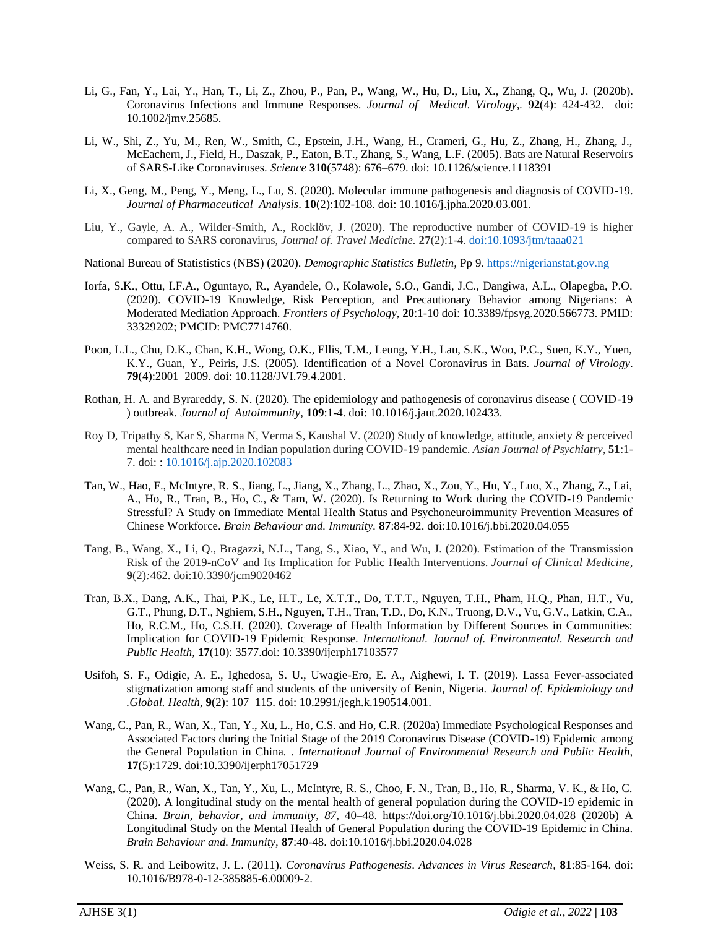- Li, G., Fan, Y., Lai, Y., Han, T., Li, Z., Zhou, P., Pan, P., Wang, W., Hu, D., Liu, X., Zhang, Q., Wu, J. (2020b). Coronavirus Infections and Immune Responses. *Journal of Medical. Virology,.* **92**(4): 424-432. doi: 10.1002/jmv.25685.
- Li, W., Shi, Z., Yu, M., Ren, W., Smith, C., Epstein, J.H., Wang, H., Crameri, G., Hu, Z., Zhang, H., Zhang, J., McEachern, J., Field, H., Daszak, P., Eaton, B.T., Zhang, S., Wang, L.F. (2005). Bats are Natural Reservoirs of SARS-Like Coronaviruses. *Science* **310**(5748): 676–679. doi: 10.1126/science.1118391
- Li, X., Geng, M., Peng, Y., Meng, L., Lu, S. (2020). Molecular immune pathogenesis and diagnosis of COVID-19. *Journal of Pharmaceutical Analysis*. **10**(2):102-108. doi: 10.1016/j.jpha.2020.03.001.
- Liu, Y., Gayle, A. A., Wilder-Smith, A., Rocklöv, J. (2020). The reproductive number of COVID-19 is higher compared to SARS coronavirus, *Journal of. Travel Medicine.* **27**(2):1-4. [doi:10.1093/jtm/taaa021](https://doi.org/10.1093/jtm/taaa021)
- National Bureau of Statististics (NBS) (2020). *Demographic Statistics Bulletin,* Pp 9[. https://nigerianstat.gov.ng](https://nigerianstat.gov.ng/)
- Iorfa, S.K., Ottu, I.F.A., Oguntayo, R., Ayandele, O., Kolawole, S.O., Gandi, J.C., Dangiwa, A.L., Olapegba, P.O. (2020). COVID-19 Knowledge, Risk Perception, and Precautionary Behavior among Nigerians: A Moderated Mediation Approach. *Frontiers of Psychology,* **20**:1-10 doi: 10.3389/fpsyg.2020.566773. PMID: 33329202; PMCID: PMC7714760.
- Poon, L.L., Chu, D.K., Chan, K.H., Wong, O.K., Ellis, T.M., Leung, Y.H., Lau, S.K., Woo, P.C., Suen, K.Y., Yuen, K.Y., Guan, Y., Peiris, J.S. (2005). Identification of a Novel Coronavirus in Bats. *Journal of Virology*. **79**(4):2001–2009. doi: 10.1128/JVI.79.4.2001.
- Rothan, H. A. and Byrareddy, S. N. (2020). The epidemiology and pathogenesis of coronavirus disease ( COVID-19 ) outbreak. *Journal of Autoimmunity,* **109**:1-4. doi: 10.1016/j.jaut.2020.102433.
- Roy D, Tripathy S, Kar S, Sharma N, Verma S, Kaushal V. (2020) Study of knowledge, attitude, anxiety & perceived mental healthcare need in Indian population during COVID-19 pandemic. *Asian Journal of Psychiatry*, **51**:1- 7. doi: : [10.1016/j.ajp.2020.102083](https://dx.doi.org/10.1016%2Fj.ajp.2020.102083)
- Tan, W., Hao, F., McIntyre, R. S., Jiang, L., Jiang, X., Zhang, L., Zhao, X., Zou, Y., Hu, Y., Luo, X., Zhang, Z., Lai, A., Ho, R., Tran, B., Ho, C., & Tam, W. (2020). Is Returning to Work during the COVID-19 Pandemic Stressful? A Study on Immediate Mental Health Status and Psychoneuroimmunity Prevention Measures of Chinese Workforce. *Brain Behaviour and. Immunity.* **87**:84-92. doi:10.1016/j.bbi.2020.04.055
- Tang, B., Wang, X., Li, Q., Bragazzi, N.L., Tang, S., Xiao, Y., and Wu, J. (2020). Estimation of the Transmission Risk of the 2019-nCoV and Its Implication for Public Health Interventions. *Journal of Clinical Medicine,*  **9**(2)*:*462. doi:10.3390/jcm9020462
- Tran, B.X., Dang, A.K., Thai, P.K., Le, H.T., Le, X.T.T., Do, T.T.T., Nguyen, T.H., Pham, H.Q., Phan, H.T., Vu, G.T., Phung, D.T., Nghiem, S.H., Nguyen, T.H., Tran, T.D., Do, K.N., Truong, D.V., Vu, G.V., Latkin, C.A., Ho, R.C.M., Ho, C.S.H. (2020). Coverage of Health Information by Different Sources in Communities: Implication for COVID-19 Epidemic Response. *International. Journal of. Environmental. Research and Public Health,* **17**(10): 3577.doi: 10.3390/ijerph17103577
- Usifoh, S. F., Odigie, A. E., Ighedosa, S. U., Uwagie-Ero, E. A., Aighewi, I. T. (2019). Lassa Fever-associated stigmatization among staff and students of the university of Benin, Nigeria. *Journal of. Epidemiology and .Global. Health*, **9**(2): 107–115. doi: 10.2991/jegh.k.190514.001.
- Wang, C., Pan, R., Wan, X., Tan, Y., Xu, L., Ho, C.S. and Ho, C.R. (2020a) Immediate Psychological Responses and Associated Factors during the Initial Stage of the 2019 Coronavirus Disease (COVID-19) Epidemic among the General Population in China*.* . *International Journal of Environmental Research and Public Health,* **17**(5):1729. doi:10.3390/ijerph17051729
- Wang, C., Pan, R., Wan, X., Tan, Y., Xu, L., McIntyre, R. S., Choo, F. N., Tran, B., Ho, R., Sharma, V. K., & Ho, C. (2020). A longitudinal study on the mental health of general population during the COVID-19 epidemic in China. *Brain, behavior, and immunity*, *87*, 40–48. https://doi.org/10.1016/j.bbi.2020.04.028 (2020b) A Longitudinal Study on the Mental Health of General Population during the COVID-19 Epidemic in China. *Brain Behaviour and. Immunity,* **87**:40-48. doi:10.1016/j.bbi.2020.04.028
- Weiss, S. R. and Leibowitz, J. L. (2011). *Coronavirus Pathogenesis*. *Advances in Virus Research,* **81**:85-164. doi: 10.1016/B978-0-12-385885-6.00009-2.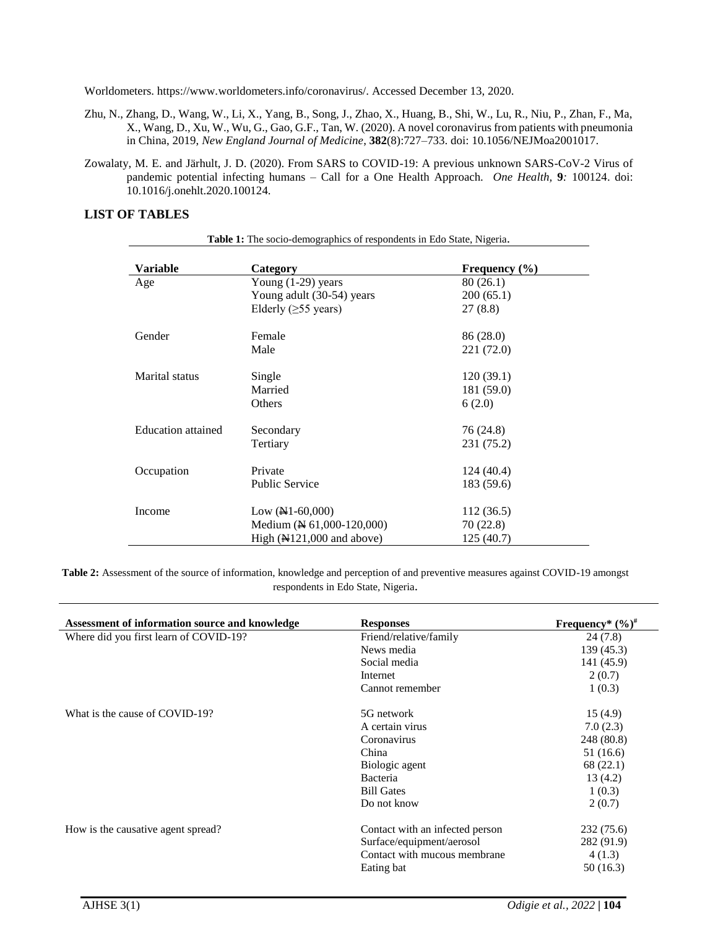Worldometers. https://www.worldometers.info/coronavirus/. Accessed December 13, 2020.

- Zhu, N., Zhang, D., Wang, W., Li, X., Yang, B., Song, J., Zhao, X., Huang, B., Shi, W., Lu, R., Niu, P., Zhan, F., Ma, X., Wang, D., Xu, W., Wu, G., Gao, G.F., Tan, W. (2020). A novel coronavirus from patients with pneumonia in China, 2019, *New England Journal of Medicine*, **382**(8):727–733. doi: 10.1056/NEJMoa2001017.
- Zowalaty, M. E. and Järhult, J. D. (2020). From SARS to COVID-19: A previous unknown SARS-CoV-2 Virus of pandemic potential infecting humans – Call for a One Health Approach. *One Health,* **9***:* 100124. doi: 10.1016/j.onehlt.2020.100124.

## **LIST OF TABLES**

| Table 1: The socio-demographics of respondents in Edo State, Nigeria. |                             |                   |  |  |
|-----------------------------------------------------------------------|-----------------------------|-------------------|--|--|
| Variable                                                              | Category                    | Frequency $(\% )$ |  |  |
| Age                                                                   | Young $(1-29)$ years        | 80 (26.1)         |  |  |
|                                                                       | Young adult (30-54) years   | 200(65.1)         |  |  |
|                                                                       | Elderly ( $\geq$ 55 years)  | 27 (8.8)          |  |  |
| Gender                                                                | Female                      | 86 (28.0)         |  |  |
|                                                                       | Male                        | 221 (72.0)        |  |  |
| Marital status                                                        | Single                      | 120(39.1)         |  |  |
|                                                                       | Married                     | 181 (59.0)        |  |  |
|                                                                       | Others                      | 6(2.0)            |  |  |
| <b>Education</b> attained                                             | Secondary                   | 76 (24.8)         |  |  |
|                                                                       | Tertiary                    | 231 (75.2)        |  |  |
| Occupation                                                            | Private                     | 124(40.4)         |  |  |
|                                                                       | <b>Public Service</b>       | 183 (59.6)        |  |  |
| Income                                                                | Low $(N1-60,000)$           | 112(36.5)         |  |  |
|                                                                       | Medium (N 61,000-120,000)   | 70 (22.8)         |  |  |
|                                                                       | High $(N121,000$ and above) | 125(40.7)         |  |  |

**Table 2:** Assessment of the source of information, knowledge and perception of and preventive measures against COVID-19 amongst respondents in Edo State, Nigeria.

| Assessment of information source and knowledge | <b>Responses</b>                | Frequency* $(\frac{6}{6})^{\#}$ |
|------------------------------------------------|---------------------------------|---------------------------------|
| Where did you first learn of COVID-19?         | Friend/relative/family          | 24(7.8)                         |
|                                                | News media                      | 139(45.3)                       |
|                                                | Social media                    | 141 (45.9)                      |
|                                                | Internet                        | 2(0.7)                          |
|                                                | Cannot remember                 | 1(0.3)                          |
| What is the cause of COVID-19?                 | 5G network                      | 15(4.9)                         |
|                                                | A certain virus                 | 7.0(2.3)                        |
|                                                | Coronavirus                     | 248 (80.8)                      |
|                                                | China                           | 51(16.6)                        |
|                                                | Biologic agent                  | 68 (22.1)                       |
|                                                | Bacteria                        | 13(4.2)                         |
|                                                | <b>Bill Gates</b>               | 1(0.3)                          |
|                                                | Do not know                     | 2(0.7)                          |
| How is the causative agent spread?             | Contact with an infected person | 232 (75.6)                      |
|                                                | Surface/equipment/aerosol       | 282 (91.9)                      |
|                                                | Contact with mucous membrane    | 4(1.3)                          |
|                                                | Eating bat                      | 50(16.3)                        |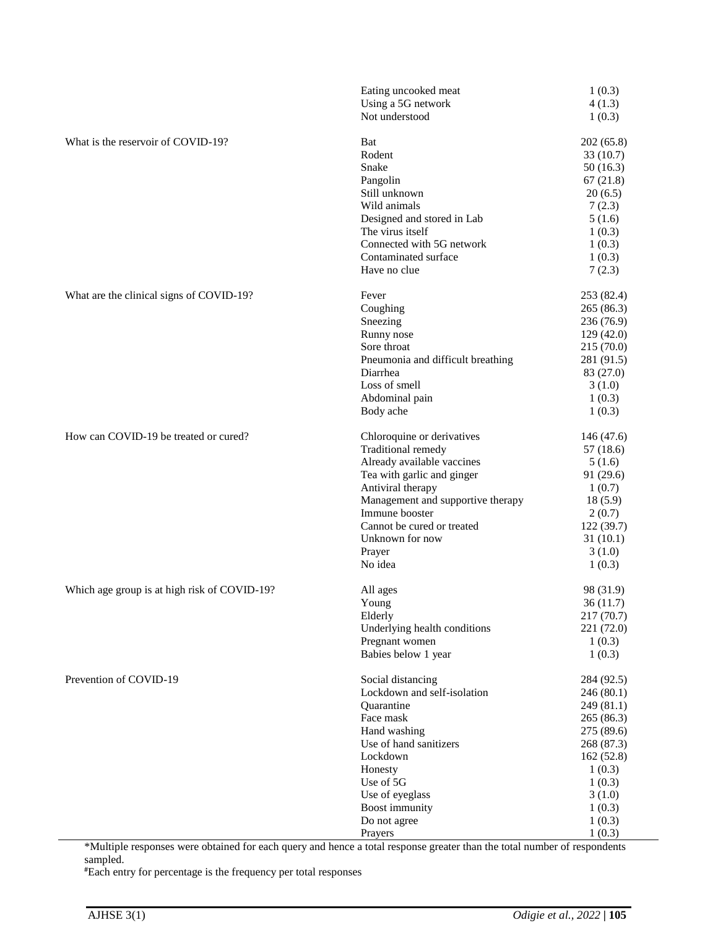|                                              | Eating uncooked meat<br>Using a 5G network      | 1(0.3)<br>4(1.3)    |
|----------------------------------------------|-------------------------------------------------|---------------------|
|                                              | Not understood                                  | 1(0.3)              |
| What is the reservoir of COVID-19?           | Bat                                             | 202(65.8)           |
|                                              | Rodent                                          | 33(10.7)            |
|                                              | Snake                                           | 50(16.3)            |
|                                              | Pangolin                                        | 67(21.8)            |
|                                              | Still unknown                                   | 20(6.5)             |
|                                              | Wild animals                                    | 7(2.3)              |
|                                              | Designed and stored in Lab                      | 5(1.6)              |
|                                              | The virus itself                                | 1(0.3)              |
|                                              | Connected with 5G network                       | 1(0.3)              |
|                                              | Contaminated surface<br>Have no clue            | 1(0.3)<br>7(2.3)    |
| What are the clinical signs of COVID-19?     | Fever                                           | 253 (82.4)          |
|                                              | Coughing                                        | 265 (86.3)          |
|                                              | Sneezing                                        | 236 (76.9)          |
|                                              | Runny nose                                      | 129(42.0)           |
|                                              | Sore throat                                     | 215 (70.0)          |
|                                              | Pneumonia and difficult breathing               | 281 (91.5)          |
|                                              | Diarrhea                                        | 83 (27.0)           |
|                                              | Loss of smell                                   | 3(1.0)              |
|                                              | Abdominal pain                                  | 1(0.3)              |
|                                              | Body ache                                       | 1(0.3)              |
| How can COVID-19 be treated or cured?        | Chloroquine or derivatives                      | 146 (47.6)          |
|                                              | Traditional remedy                              | 57 (18.6)           |
|                                              | Already available vaccines                      | 5(1.6)              |
|                                              | Tea with garlic and ginger<br>Antiviral therapy | 91 (29.6)<br>1(0.7) |
|                                              | Management and supportive therapy               | 18(5.9)             |
|                                              | Immune booster                                  | 2(0.7)              |
|                                              | Cannot be cured or treated                      | 122 (39.7)          |
|                                              | Unknown for now                                 | 31(10.1)            |
|                                              | Prayer                                          | 3(1.0)              |
|                                              | No idea                                         | 1(0.3)              |
| Which age group is at high risk of COVID-19? | All ages                                        | 98 (31.9)           |
|                                              | Young                                           | 36(11.7)            |
|                                              | Elderly                                         | 217 (70.7)          |
|                                              | Underlying health conditions                    | 221 (72.0)          |
|                                              | Pregnant women<br>Babies below 1 year           | 1(0.3)<br>1(0.3)    |
| Prevention of COVID-19                       | Social distancing                               | 284 (92.5)          |
|                                              | Lockdown and self-isolation                     | 246 (80.1)          |
|                                              | Quarantine                                      | 249 (81.1)          |
|                                              | Face mask                                       | 265 (86.3)          |
|                                              | Hand washing                                    | 275 (89.6)          |
|                                              | Use of hand sanitizers                          | 268 (87.3)          |
|                                              | Lockdown                                        | 162(52.8)           |
|                                              | Honesty                                         | 1(0.3)              |
|                                              | Use of 5G                                       | 1(0.3)              |
|                                              | Use of eyeglass                                 | 3(1.0)              |
|                                              | Boost immunity                                  | 1(0.3)              |
|                                              | Do not agree                                    | 1(0.3)              |
|                                              | Prayers                                         | 1(0.3)              |

\*Multiple responses were obtained for each query and hence a total response greater than the total number of respondents sampled.

**#**Each entry for percentage is the frequency per total responses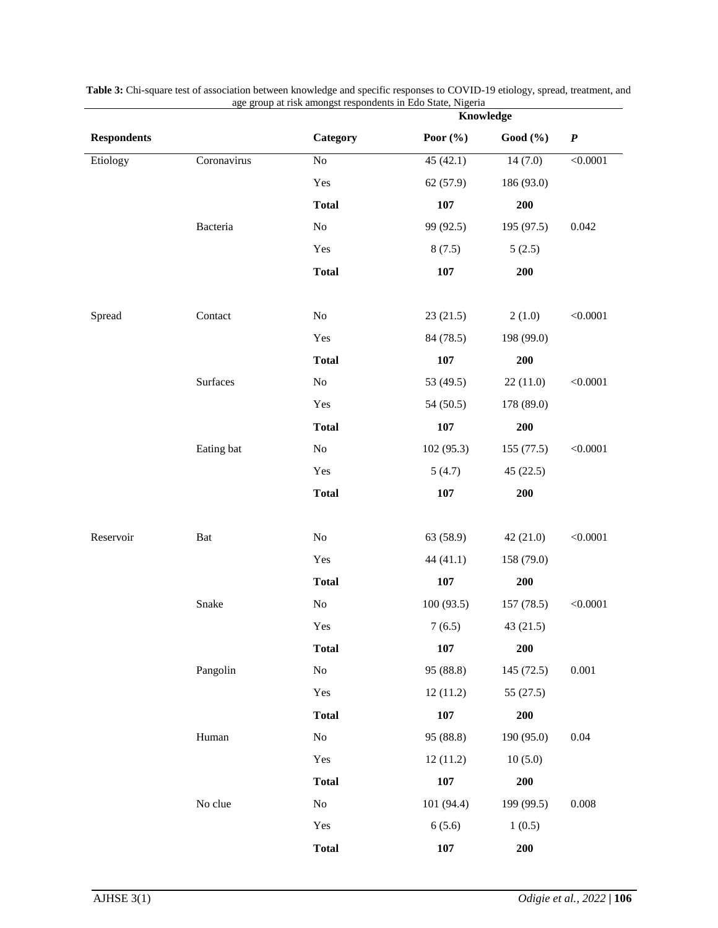|                    |             | Knowledge    |              |             |           |
|--------------------|-------------|--------------|--------------|-------------|-----------|
| <b>Respondents</b> |             | Category     | Poor $(\% )$ | Good (%)    | $\pmb{P}$ |
| Etiology           | Coronavirus | $\rm No$     | 45(42.1)     | 14(7.0)     | < 0.0001  |
|                    |             | Yes          | 62(57.9)     | 186 (93.0)  |           |
|                    |             | <b>Total</b> | 107          | 200         |           |
|                    | Bacteria    | No           | 99 (92.5)    | 195 (97.5)  | 0.042     |
|                    |             | Yes          | 8(7.5)       | 5(2.5)      |           |
|                    |             | <b>Total</b> | 107          | 200         |           |
| Spread             | Contact     | $\rm No$     | 23(21.5)     | 2(1.0)      | < 0.0001  |
|                    |             | Yes          | 84 (78.5)    | 198 (99.0)  |           |
|                    |             | <b>Total</b> | 107          | 200         |           |
|                    | Surfaces    | No           | 53 (49.5)    | 22(11.0)    | < 0.0001  |
|                    |             | Yes          | 54 (50.5)    | 178 (89.0)  |           |
|                    |             | <b>Total</b> | 107          | 200         |           |
|                    | Eating bat  | $\rm No$     | 102 (95.3)   | 155 (77.5)  | < 0.0001  |
|                    |             | Yes          | 5(4.7)       | 45(22.5)    |           |
|                    |             | <b>Total</b> | 107          | 200         |           |
| Reservoir          | Bat         | $\rm No$     | 63 (58.9)    | 42(21.0)    | < 0.0001  |
|                    |             | Yes          | 44 (41.1)    | 158 (79.0)  |           |
|                    |             | <b>Total</b> | 107          | 200         |           |
|                    | Snake       | $\rm No$     | 100(93.5)    | 157 (78.5)  | < 0.0001  |
|                    |             | Yes          | 7(6.5)       | 43(21.5)    |           |
|                    |             | <b>Total</b> | 107          | 200         |           |
|                    | Pangolin    | $\rm No$     | 95 (88.8)    | 145 (72.5)  | 0.001     |
|                    |             | Yes          | 12(11.2)     | 55 $(27.5)$ |           |
|                    |             | <b>Total</b> | 107          | <b>200</b>  |           |
|                    | Human       | $\rm No$     | 95 (88.8)    | 190 (95.0)  | $0.04\,$  |
|                    |             | Yes          | 12(11.2)     | 10(5.0)     |           |
|                    |             | <b>Total</b> | 107          | 200         |           |
|                    | No clue     | No           | 101 (94.4)   | 199 (99.5)  | 0.008     |
|                    |             | Yes          | 6(5.6)       | 1(0.5)      |           |
|                    |             | <b>Total</b> | 107          | 200         |           |

**Table 3:** Chi-square test of association between knowledge and specific responses to COVID-19 etiology, spread, treatment, and age group at risk amongst respondents in Edo State, Nigeria